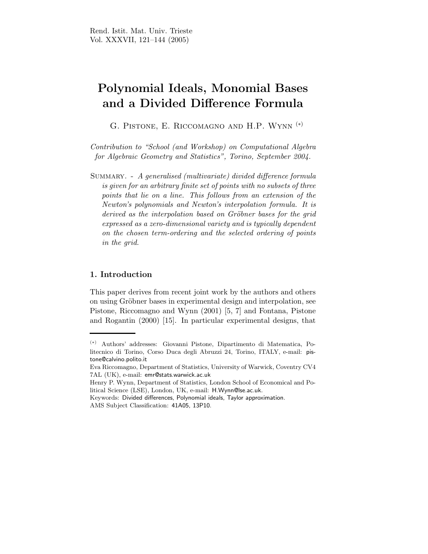# Polynomial Ideals, Monomial Bases and a Divided Difference Formula

G. Pistone, E. Riccomagno and H.P. Wynn (∗)

Contribution to "School (and Workshop) on Computational Algebra for Algebraic Geometry and Statistics", Torino, September 2004.

SUMMARY. - A generalised (multivariate) divided difference formula is given for an arbitrary finite set of points with no subsets of three points that lie on a line. This follows from an extension of the Newton's polynomials and Newton's interpolation formula. It is derived as the interpolation based on Gröbner bases for the grid expressed as a zero-dimensional variety and is typically dependent on the chosen term-ordering and the selected ordering of points in the grid.

### 1. Introduction

This paper derives from recent joint work by the authors and others on using Gröbner bases in experimental design and interpolation, see Pistone, Riccomagno and Wynn (2001) [5, 7] and Fontana, Pistone and Rogantin (2000) [15]. In particular experimental designs, that

<sup>(</sup>∗) Authors' addresses: Giovanni Pistone, Dipartimento di Matematica, Politecnico di Torino, Corso Duca degli Abruzzi 24, Torino, ITALY, e-mail: pistone@calvino.polito.it

Eva Riccomagno, Department of Statistics, University of Warwick, Coventry CV4 7AL (UK), e-mail: emr@stats.warwick.ac.uk

Henry P. Wynn, Department of Statistics, London School of Economical and Political Science (LSE), London, UK, e-mail: H.Wynn@lse.ac.uk.

Keywords: Divided differences, Polynomial ideals, Taylor approximation. AMS Subject Classification: 41A05, 13P10.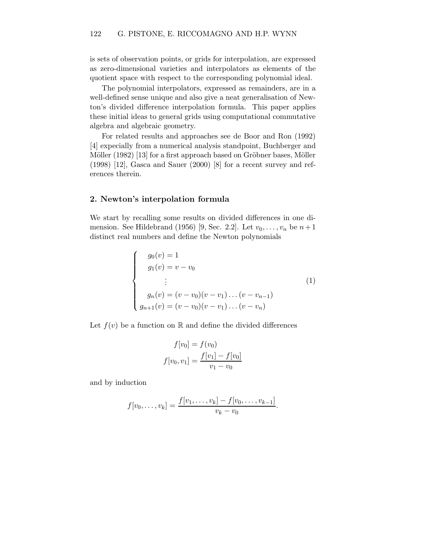is sets of observation points, or grids for interpolation, are expressed as zero-dimensional varieties and interpolators as elements of the quotient space with respect to the corresponding polynomial ideal.

The polynomial interpolators, expressed as remainders, are in a well-defined sense unique and also give a neat generalisation of Newton's divided difference interpolation formula. This paper applies these initial ideas to general grids using computational commutative algebra and algebraic geometry.

For related results and approaches see de Boor and Ron (1992) [4] expecially from a numerical analysis standpoint, Buchberger and Möller (1982) [13] for a first approach based on Gröbner bases, Möller (1998) [12], Gasca and Sauer (2000) [8] for a recent survey and references therein.

#### 2. Newton's interpolation formula

We start by recalling some results on divided differences in one dimension. See Hildebrand (1956) [9, Sec. 2.2]. Let  $v_0, \ldots, v_n$  be  $n+1$ distinct real numbers and define the Newton polynomials

$$
\begin{cases}\ng_0(v) = 1 \\
g_1(v) = v - v_0 \\
\vdots \\
g_n(v) = (v - v_0)(v - v_1) \dots (v - v_{n-1}) \\
g_{n+1}(v) = (v - v_0)(v - v_1) \dots (v - v_n)\n\end{cases}
$$
\n(1)

Let  $f(v)$  be a function on R and define the divided differences

$$
f[v_0] = f(v_0)
$$

$$
f[v_0, v_1] = \frac{f[v_1] - f[v_0]}{v_1 - v_0}
$$

and by induction

$$
f[v_0, \ldots, v_k] = \frac{f[v_1, \ldots, v_k] - f[v_0, \ldots, v_{k-1}]}{v_k - v_0}.
$$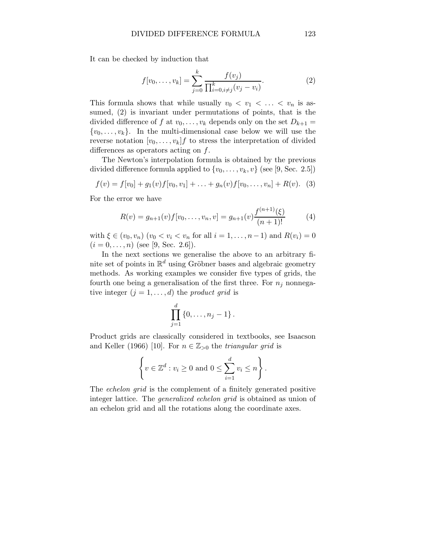It can be checked by induction that

$$
f[v_0, \dots, v_k] = \sum_{j=0}^k \frac{f(v_j)}{\prod_{i=0, i \neq j}^k (v_j - v_i)}.
$$
 (2)

This formula shows that while usually  $v_0 < v_1 < \ldots < v_n$  is assumed, (2) is invariant under permutations of points, that is the divided difference of f at  $v_0, \ldots, v_k$  depends only on the set  $D_{k+1} =$  $\{v_0, \ldots, v_k\}$ . In the multi-dimensional case below we will use the reverse notation  $[v_0, \ldots, v_k]$  to stress the interpretation of divided differences as operators acting on  $f$ .

The Newton's interpolation formula is obtained by the previous divided difference formula applied to  $\{v_0, \ldots, v_k, v\}$  (see [9, Sec. 2.5])

$$
f(v) = f[v_0] + g_1(v)f[v_0, v_1] + \ldots + g_n(v)f[v_0, \ldots, v_n] + R(v). \tag{3}
$$

For the error we have

$$
R(v) = g_{n+1}(v)f[v_0, \dots, v_n, v] = g_{n+1}(v)\frac{f^{(n+1)}(\xi)}{(n+1)!}
$$
 (4)

with  $\xi \in (v_0, v_n)$   $(v_0 < v_i < v_n$  for all  $i = 1, ..., n-1)$  and  $R(v_i) = 0$  $(i = 0, \ldots, n)$  (see [9, Sec. 2.6]).

In the next sections we generalise the above to an arbitrary finite set of points in  $\mathbb{R}^d$  using Gröbner bases and algebraic geometry methods. As working examples we consider five types of grids, the fourth one being a generalisation of the first three. For  $n_j$  nonnegative integer  $(j = 1, \ldots, d)$  the product grid is

$$
\prod_{j=1}^d \{0, \ldots, n_j - 1\}.
$$

Product grids are classically considered in textbooks, see Isaacson and Keller (1966) [10]. For  $n \in \mathbb{Z}_{>0}$  the triangular grid is

$$
\left\{v \in \mathbb{Z}^d : v_i \ge 0 \text{ and } 0 \le \sum_{i=1}^d v_i \le n\right\}.
$$

The *echelon grid* is the complement of a finitely generated positive integer lattice. The generalized echelon grid is obtained as union of an echelon grid and all the rotations along the coordinate axes.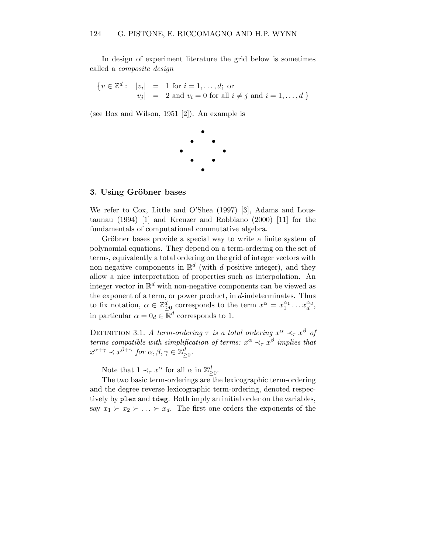In design of experiment literature the grid below is sometimes called a composite design

$$
\begin{cases} v \in \mathbb{Z}^d: & |v_i| = 1 \text{ for } i = 1, \dots, d; \text{ or} \\ |v_j| = 2 \text{ and } v_i = 0 \text{ for all } i \neq j \text{ and } i = 1, \dots, d \end{cases}
$$

(see Box and Wilson, 1951 [2]). An example is



#### 3. Using Gröbner bases

We refer to Cox, Little and O'Shea (1997) [3], Adams and Loustaunau (1994) [1] and Kreuzer and Robbiano (2000) [11] for the fundamentals of computational commutative algebra.

Gröbner bases provide a special way to write a finite system of polynomial equations. They depend on a term-ordering on the set of terms, equivalently a total ordering on the grid of integer vectors with non-negative components in  $\mathbb{R}^d$  (with d positive integer), and they allow a nice interpretation of properties such as interpolation. An integer vector in  $\mathbb{R}^d$  with non-negative components can be viewed as the exponent of a term, or power product, in  $d$ -indeterminates. Thus to fix notation,  $\alpha \in \mathbb{Z}_{\geq 0}^d$  corresponds to the term  $x^{\alpha} = x_1^{\alpha_1} \dots x_d^{\alpha_d}$ , in particular  $\alpha = 0_d \in \mathbb{R}^d$  corresponds to 1.

DEFINITION 3.1. A term-ordering  $\tau$  is a total ordering  $x^{\alpha} \prec_{\tau} x^{\beta}$  of terms compatible with simplification of terms:  $x^{\alpha} \prec_{\tau} x^{\beta}$  implies that  $x^{\alpha+\gamma} \prec x^{\beta+\gamma}$  for  $\alpha, \beta, \gamma \in \mathbb{Z}_{\geq 0}^d$ .

Note that  $1 \prec_\tau x^\alpha$  for all  $\alpha$  in  $\mathbb{Z}_{\geq 0}^d$ .

The two basic term-orderings are the lexicographic term-ordering and the degree reverse lexicographic term-ordering, denoted respectively by plex and tdeg. Both imply an initial order on the variables, say  $x_1 \succ x_2 \succ \ldots \succ x_d$ . The first one orders the exponents of the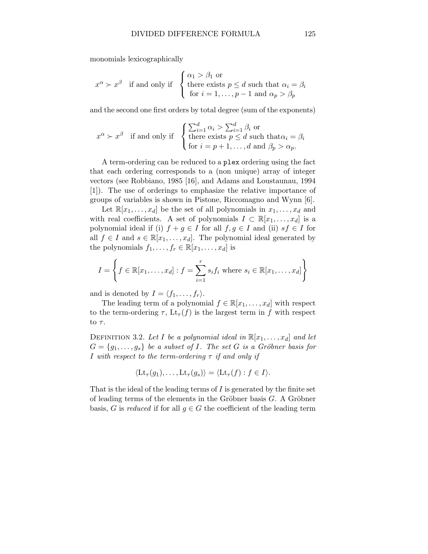monomials lexicographically

$$
x^{\alpha} \succ x^{\beta}
$$
 if and only if  $\begin{cases} \alpha_1 > \beta_1 \text{ or} \\ \text{there exists } p \leq d \text{ such that } \alpha_i = \beta_i \\ \text{for } i = 1, \ldots, p-1 \text{ and } \alpha_p > \beta_p \end{cases}$ 

and the second one first orders by total degree (sum of the exponents)

$$
x^{\alpha} \succ x^{\beta} \text{ if and only if } \begin{cases} \sum_{i=1}^{d} \alpha_i > \sum_{i=1}^{d} \beta_i \text{ or} \\ \text{there exists } p \leq d \text{ such that } \alpha_i = \beta_i \\ \text{for } i = p+1, \dots, d \text{ and } \beta_p > \alpha_p. \end{cases}
$$

A term-ordering can be reduced to a plex ordering using the fact that each ordering corresponds to a (non unique) array of integer vectors (see Robbiano, 1985 [16], and Adams and Loustaunau, 1994 [1]). The use of orderings to emphasize the relative importance of groups of variables is shown in Pistone, Riccomagno and Wynn [6].

Let  $\mathbb{R}[x_1,\ldots,x_d]$  be the set of all polynomials in  $x_1,\ldots,x_d$  and with real coefficients. A set of polynomials  $I \subset \mathbb{R}[x_1,\ldots,x_d]$  is a polynomial ideal if (i)  $f + g \in I$  for all  $f, g \in I$  and (ii)  $sf \in I$  for all  $f \in I$  and  $s \in \mathbb{R}[x_1, \ldots, x_d]$ . The polynomial ideal generated by the polynomials  $f_1, \ldots, f_r \in \mathbb{R}[x_1, \ldots, x_d]$  is

$$
I = \left\{ f \in \mathbb{R}[x_1, \dots, x_d] : f = \sum_{i=1}^r s_i f_i \text{ where } s_i \in \mathbb{R}[x_1, \dots, x_d] \right\}
$$

and is denoted by  $I = \langle f_1, \ldots, f_r \rangle$ .

The leading term of a polynomial  $f \in \mathbb{R}[x_1, \ldots, x_d]$  with respect to the term-ordering  $\tau$ ,  $\mathrm{Lt}_{\tau}(f)$  is the largest term in f with respect to  $\tau$ .

DEFINITION 3.2. Let I be a polynomial ideal in  $\mathbb{R}[x_1, \ldots, x_d]$  and let  $G = \{g_1, \ldots, g_s\}$  be a subset of I. The set G is a Gröbner basis for I with respect to the term-ordering  $\tau$  if and only if

$$
\langle \mathrm{Lt}_{\tau}(g_1),\ldots,\mathrm{Lt}_{\tau}(g_s)\rangle = \langle \mathrm{Lt}_{\tau}(f) : f \in I\rangle.
$$

That is the ideal of the leading terms of  $I$  is generated by the finite set of leading terms of the elements in the Gröbner basis  $G$ . A Gröbner basis, G is reduced if for all  $g \in G$  the coefficient of the leading term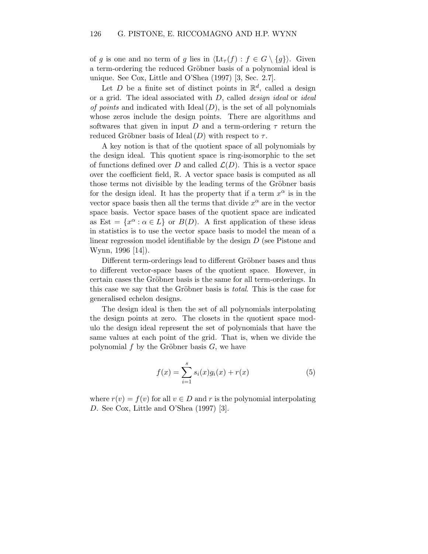of g is one and no term of g lies in  $\langle \mathrm{Lt}_{\tau}(f) : f \in G \setminus \{g\} \rangle$ . Given a term-ordering the reduced Gröbner basis of a polynomial ideal is unique. See Cox, Little and O'Shea (1997) [3, Sec. 2.7].

Let D be a finite set of distinct points in  $\mathbb{R}^d$ , called a design or a grid. The ideal associated with D, called design ideal or ideal of points and indicated with Ideal  $(D)$ , is the set of all polynomials whose zeros include the design points. There are algorithms and softwares that given in input D and a term-ordering  $\tau$  return the reduced Gröbner basis of Ideal  $(D)$  with respect to  $\tau$ .

A key notion is that of the quotient space of all polynomials by the design ideal. This quotient space is ring-isomorphic to the set of functions defined over D and called  $\mathcal{L}(D)$ . This is a vector space over the coefficient field, R. A vector space basis is computed as all those terms not divisible by the leading terms of the Gröbner basis for the design ideal. It has the property that if a term  $x^{\alpha}$  is in the vector space basis then all the terms that divide  $x^{\alpha}$  are in the vector space basis. Vector space bases of the quotient space are indicated as Est =  $\{x^{\alpha} : \alpha \in L\}$  or  $B(D)$ . A first application of these ideas in statistics is to use the vector space basis to model the mean of a linear regression model identifiable by the design D (see Pistone and Wynn, 1996 [14]).

Different term-orderings lead to different Gröbner bases and thus to different vector-space bases of the quotient space. However, in certain cases the Gröbner basis is the same for all term-orderings. In this case we say that the Gröbner basis is *total*. This is the case for generalised echelon designs.

The design ideal is then the set of all polynomials interpolating the design points at zero. The closets in the quotient space modulo the design ideal represent the set of polynomials that have the same values at each point of the grid. That is, when we divide the polynomial  $f$  by the Gröbner basis  $G$ , we have

$$
f(x) = \sum_{i=1}^{s} s_i(x)g_i(x) + r(x)
$$
 (5)

where  $r(v) = f(v)$  for all  $v \in D$  and r is the polynomial interpolating D. See Cox, Little and O'Shea (1997) [3].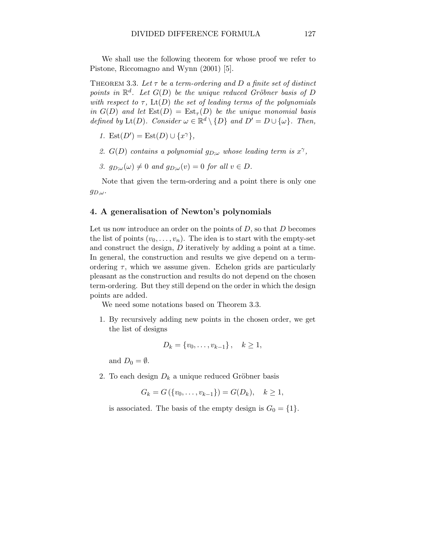We shall use the following theorem for whose proof we refer to Pistone, Riccomagno and Wynn (2001) [5].

THEOREM 3.3. Let  $\tau$  be a term-ordering and D a finite set of distinct points in  $\mathbb{R}^d$ . Let  $G(D)$  be the unique reduced Gröbner basis of D with respect to  $\tau$ , Lt(D) the set of leading terms of the polynomials in  $G(D)$  and let  $\text{Est}(D) = \text{Est}_{\tau}(D)$  be the unique monomial basis defined by  $\mathrm{Lt}(D)$ . Consider  $\omega \in \mathbb{R}^d \setminus \{D\}$  and  $D' = D \cup \{\omega\}$ . Then,

- 1. Est $(D') = \text{Est}(D) \cup \{x^{\gamma}\},\$
- 2.  $G(D)$  contains a polynomial  $g_{D;\omega}$  whose leading term is  $x^{\gamma}$ ,
- 3.  $q_{D:\omega}(\omega) \neq 0$  and  $q_{D:\omega}(v) = 0$  for all  $v \in D$ .

Note that given the term-ordering and a point there is only one  $g_{D,\omega}$ .

#### 4. A generalisation of Newton's polynomials

Let us now introduce an order on the points of  $D$ , so that  $D$  becomes the list of points  $(v_0, \ldots, v_n)$ . The idea is to start with the empty-set and construct the design, D iteratively by adding a point at a time. In general, the construction and results we give depend on a termordering  $\tau$ , which we assume given. Echelon grids are particularly pleasant as the construction and results do not depend on the chosen term-ordering. But they still depend on the order in which the design points are added.

We need some notations based on Theorem 3.3.

1. By recursively adding new points in the chosen order, we get the list of designs

$$
D_k = \{v_0, \ldots, v_{k-1}\}, \quad k \ge 1,
$$

and  $D_0 = \emptyset$ .

2. To each design  $D_k$  a unique reduced Gröbner basis

$$
G_k = G(\{v_0, \ldots, v_{k-1}\}) = G(D_k), \quad k \ge 1,
$$

is associated. The basis of the empty design is  $G_0 = \{1\}.$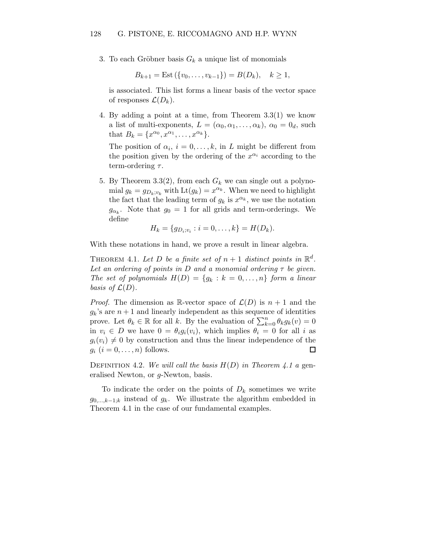3. To each Gröbner basis  $G_k$  a unique list of monomials

$$
B_{k+1} = \text{Est}(\{v_0, \ldots, v_{k-1}\}) = B(D_k), \quad k \ge 1,
$$

is associated. This list forms a linear basis of the vector space of responses  $\mathcal{L}(D_k)$ .

4. By adding a point at a time, from Theorem 3.3(1) we know a list of multi-exponents,  $L = (\alpha_0, \alpha_1, \ldots, \alpha_k)$ ,  $\alpha_0 = 0_d$ , such that  $B_k = \{x^{\alpha_0}, x^{\alpha_1}, \ldots, x^{\alpha_k}\}.$ 

The position of  $\alpha_i$ ,  $i = 0, \ldots, k$ , in L might be different from the position given by the ordering of the  $x^{\alpha_i}$  according to the term-ordering  $\tau$ .

5. By Theorem 3.3(2), from each  $G_k$  we can single out a polynomial  $g_k = g_{D_k; v_k}$  with  $\text{Lt}(g_k) = x^{\alpha_k}$ . When we need to highlight the fact that the leading term of  $g_k$  is  $x^{\alpha_k}$ , we use the notation  $g_{\alpha_k}$ . Note that  $g_0 = 1$  for all grids and term-orderings. We define

$$
H_k = \{g_{D_i; v_i} : i = 0, \dots, k\} = H(D_k).
$$

With these notations in hand, we prove a result in linear algebra.

THEOREM 4.1. Let D be a finite set of  $n+1$  distinct points in  $\mathbb{R}^d$ . Let an ordering of points in D and a monomial ordering  $\tau$  be given. The set of polynomials  $H(D) = \{g_k : k = 0, \ldots, n\}$  form a linear basis of  $\mathcal{L}(D)$ .

*Proof.* The dimension as R-vector space of  $\mathcal{L}(D)$  is  $n + 1$  and the  $g_k$ 's are  $n+1$  and linearly independent as this sequence of identities prove. Let  $\theta_k \in \mathbb{R}$  for all k. By the evaluation of  $\sum_{k=0}^n \theta_k g_k(v) = 0$ in  $v_i \in D$  we have  $0 = \theta_i g_i(v_i)$ , which implies  $\theta_i = 0$  for all i as  $g_i(v_i) \neq 0$  by construction and thus the linear independence of the  $g_i$   $(i = 0, \ldots, n)$  follows.  $\Box$ 

DEFINITION 4.2. We will call the basis  $H(D)$  in Theorem 4.1 a generalised Newton, or g-Newton, basis.

To indicate the order on the points of  $D_k$  sometimes we write  $g_{0,\dots,k-1;k}$  instead of  $g_k$ . We illustrate the algorithm embedded in Theorem 4.1 in the case of our fundamental examples.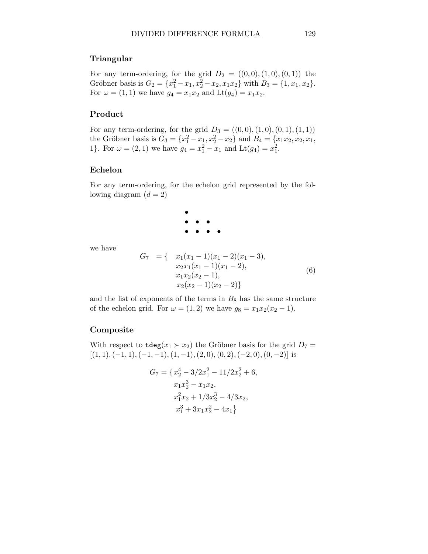#### Triangular

For any term-ordering, for the grid  $D_2 = ((0,0),(1,0),(0,1))$  the Gröbner basis is  $G_2 = \{x_1^2 - x_1, x_2^2 - x_2, x_1x_2\}$  with  $B_3 = \{1, x_1, x_2\}.$ For  $\omega = (1, 1)$  we have  $g_4 = x_1 x_2$  and  $Lt(g_4) = x_1 x_2$ .

#### Product

For any term-ordering, for the grid  $D_3 = ((0,0), (1,0), (0,1), (1, 1))$ the Gröbner basis is  $G_3 = \{x_1^2 - x_1, x_2^2 - x_2\}$  and  $B_4 = \{x_1x_2, x_2, x_1,$ 1}. For  $\omega = (2, 1)$  we have  $g_4 = x_1^2 - x_1$  and  $\text{Lt}(g_4) = x_1^2$ .

#### Echelon

For any term-ordering, for the echelon grid represented by the following diagram  $(d = 2)$ 

$$
\begin{array}{c}\n\bullet \\
\bullet \\
\bullet \\
\bullet \\
\bullet \\
\bullet\n\end{array}
$$

we have

$$
G_7 = \{ \begin{array}{l} x_1(x_1 - 1)(x_1 - 2)(x_1 - 3), \\ x_2x_1(x_1 - 1)(x_1 - 2), \\ x_1x_2(x_2 - 1), \\ x_2(x_2 - 1)(x_2 - 2) \} \end{array} \tag{6}
$$

and the list of exponents of the terms in  $B_8$  has the same structure of the echelon grid. For  $\omega = (1, 2)$  we have  $g_8 = x_1x_2(x_2 - 1)$ .

#### Composite

With respect to  $\texttt{tdeg}(x_1 \succ x_2)$  the Gröbner basis for the grid  $D_7 =$  $[(1, 1), (-1, 1), (-1, -1), (1, -1), (2, 0), (0, 2), (-2, 0), (0, -2)]$  is

$$
G_7 = \{x_2^4 - 3/2x_1^2 - 11/2x_2^2 + 6,
$$
  
\n
$$
x_1x_2^3 - x_1x_2,
$$
  
\n
$$
x_1^2x_2 + 1/3x_2^3 - 4/3x_2,
$$
  
\n
$$
x_1^3 + 3x_1x_2^2 - 4x_1\}
$$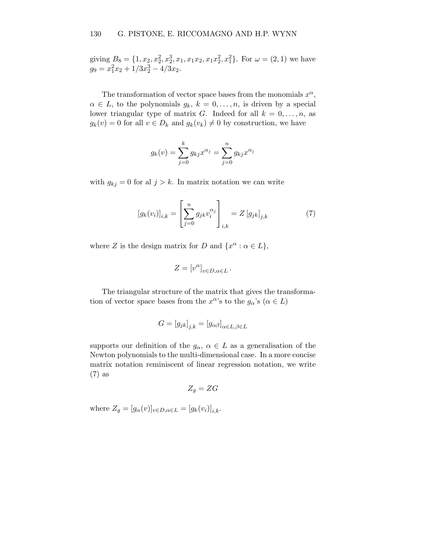giving  $B_8 = \{1, x_2, x_2^2, x_2^3, x_1, x_1x_2, x_1x_2^2, x_1^2\}$ . For  $\omega = (2, 1)$  we have  $g_9 = x_1^2 x_2 + 1/3x_2^3 - 4/3x_2.$ 

The transformation of vector space bases from the monomials  $x^{\alpha}$ ,  $\alpha \in L$ , to the polynomials  $q_k, k = 0, \ldots, n$ , is driven by a special lower triangular type of matrix G. Indeed for all  $k = 0, \ldots, n$ , as  $g_k(v) = 0$  for all  $v \in D_k$  and  $g_k(v_k) \neq 0$  by construction, we have

$$
g_k(v) = \sum_{j=0}^k g_{kj} x^{\alpha_j} = \sum_{j=0}^n g_{kj} x^{\alpha_j}
$$

with  $g_{kj} = 0$  for al  $j > k$ . In matrix notation we can write

$$
\left[g_k(v_i)\right]_{i,k} = \left[\sum_{j=0}^n g_{jk} v_i^{\alpha_j}\right]_{i,k} = Z\left[g_{jk}\right]_{j,k} \tag{7}
$$

where Z is the design matrix for D and  $\{x^{\alpha} : \alpha \in L\},\$ 

$$
Z=[v^\alpha]_{v\in D, \alpha\in L}\,.
$$

The triangular structure of the matrix that gives the transformation of vector space bases from the  $x^{\alpha}$ 's to the  $g_{\alpha}$ 's  $(\alpha \in L)$ 

$$
G=\left[g_{jk}\right]_{j,k}=\left[g_{\alpha\beta}\right]_{\alpha\in L,\beta\in L}
$$

supports our definition of the  $g_{\alpha}, \alpha \in L$  as a generalisation of the Newton polynomials to the multi-dimensional case. In a more concise matrix notation reminiscent of linear regression notation, we write (7) as

$$
Z_g = ZG
$$

where  $Z_g = [g_\alpha(v)]_{v \in D, \alpha \in L} = [g_k(v_i)]_{i,k}$ .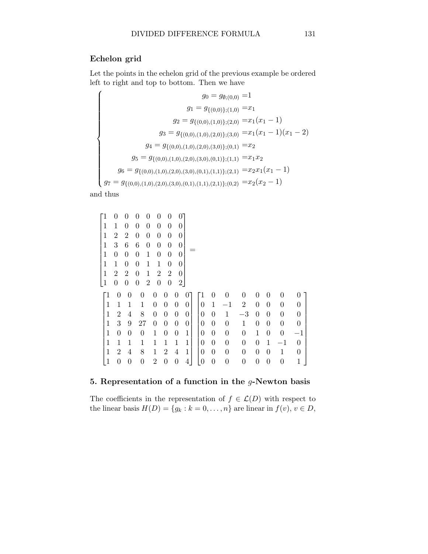## Echelon grid

Let the points in the echelon grid of the previous example be ordered left to right and top to bottom. Then we have

$$
g_0 = g_{\emptyset;(0,0)} = 1
$$
  
\n
$$
g_1 = g_{\{(0,0)\};(1,0)} = x_1
$$
  
\n
$$
g_2 = g_{\{(0,0),(1,0)\};(2,0)} = x_1(x_1 - 1)
$$
  
\n
$$
g_3 = g_{\{(0,0),(1,0),(2,0)\};(3,0)} = x_1(x_1 - 1)(x_1 - 2)
$$
  
\n
$$
g_4 = g_{\{(0,0),(1,0),(2,0),(3,0)\};(0,1)} = x_2
$$
  
\n
$$
g_5 = g_{\{(0,0),(1,0),(2,0),(3,0),(0,1)\};(1,1)} = x_1x_2
$$
  
\n
$$
g_6 = g_{\{(0,0),(1,0),(2,0),(3,0),(0,1),(1,1)\};(2,1)} = x_2x_1(x_1 - 1)
$$
  
\n
$$
g_7 = g_{\{(0,0),(1,0),(2,0),(3,0),(0,1),(1,1),(2,1)\};(0,2)} = x_2(x_2 - 1)
$$

and thus

$$
\begin{bmatrix} 1 & 0 & 0 & 0 & 0 & 0 & 0 & 0 \\ 1 & 1 & 0 & 0 & 0 & 0 & 0 & 0 \\ 1 & 2 & 2 & 0 & 0 & 0 & 0 & 0 \\ 1 & 0 & 0 & 0 & 1 & 0 & 0 & 0 \\ 1 & 1 & 0 & 0 & 1 & 1 & 0 & 0 \\ 1 & 2 & 2 & 0 & 1 & 2 & 2 & 0 \\ 1 & 0 & 0 & 0 & 2 & 0 & 0 & 2 \end{bmatrix} = \begin{bmatrix} 1 & 0 & 0 & 0 & 0 & 0 & 0 & 0 \\ 1 & 1 & 1 & 0 & 0 & 0 & 0 & 0 & 0 \\ 1 & 1 & 1 & 1 & 0 & 0 & 0 & 0 \\ 1 & 2 & 4 & 8 & 0 & 0 & 0 & 0 \\ 1 & 3 & 9 & 27 & 0 & 0 & 0 & 0 \\ 1 & 0 & 0 & 1 & 0 & 0 & 1 & 0 \\ 1 & 1 & 1 & 1 & 1 & 1 & 1 \end{bmatrix} \begin{bmatrix} 1 & 0 & 0 & 0 & 0 & 0 & 0 & 0 \\ 0 & 1 & -1 & 2 & 0 & 0 & 0 & 0 \\ 0 & 0 & 1 & -3 & 0 & 0 & 0 & 0 \\ 0 & 0 & 1 & 0 & 0 & 0 & 0 & 0 \\ 0 & 0 & 0 & 1 & 0 & 0 & 0 & 0 \\ 0 & 0 & 0 & 0 & 1 & 0 & 0 & -1 \\ 1 & 1 & 1 & 1 & 1 & 1 & 1 \end{bmatrix}
$$

## 5. Representation of a function in the  $g$ -Newton basis

The coefficients in the representation of  $f \in \mathcal{L}(D)$  with respect to the linear basis  $H(D) = \{g_k : k = 0, \ldots, n\}$  are linear in  $f(v), v \in D$ ,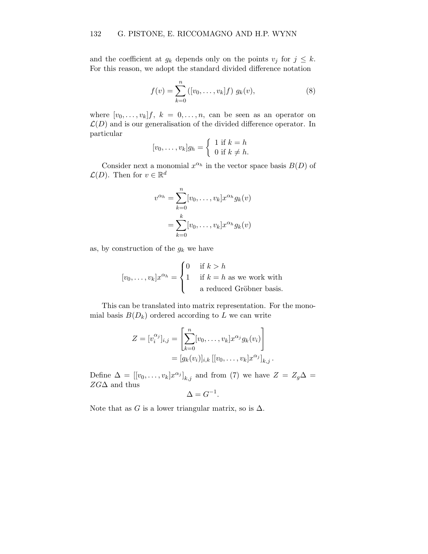and the coefficient at  $g_k$  depends only on the points  $v_j$  for  $j \leq k$ . For this reason, we adopt the standard divided difference notation

$$
f(v) = \sum_{k=0}^{n} ([v_0, \dots, v_k]f) g_k(v), \qquad (8)
$$

where  $[v_0, \ldots, v_k]$ f,  $k = 0, \ldots, n$ , can be seen as an operator on  $\mathcal{L}(D)$  and is our generalisation of the divided difference operator. In particular

$$
[v_0, \dots, v_k]g_h = \begin{cases} 1 & \text{if } k = h \\ 0 & \text{if } k \neq h. \end{cases}
$$

Consider next a monomial  $x^{\alpha_h}$  in the vector space basis  $B(D)$  of  $\mathcal{L}(D)$ . Then for  $v \in \mathbb{R}^d$ 

$$
v^{\alpha_h} = \sum_{k=0}^n [v_0, \dots, v_k] x^{\alpha_h} g_k(v)
$$
  
= 
$$
\sum_{k=0}^k [v_0, \dots, v_k] x^{\alpha_h} g_k(v)
$$

as, by construction of the  $g_k$  we have

$$
[v_0, \dots, v_k]x^{\alpha_h} = \begin{cases} 0 & \text{if } k > h \\ 1 & \text{if } k = h \text{ as we work with} \\ \text{a reduced Gröbner basis.} \end{cases}
$$

This can be translated into matrix representation. For the monomial basis  $B(D_k)$  ordered according to L we can write

$$
Z = [v_i^{\alpha_j}]_{i,j} = \left[ \sum_{k=0}^n [v_0, \dots, v_k] x^{\alpha_j} g_k(v_i) \right]
$$
  
=  $[g_k(v_i)]_{i,k} [[v_0, \dots, v_k] x^{\alpha_j}]_{k,j}.$ 

Define  $\Delta = [[v_0, \ldots, v_k] x^{\alpha_j}]_{k,j}$  and from (7) we have  $Z = Z_g \Delta =$  $ZG\Delta$  and thus

$$
\Delta = G^{-1}.
$$

Note that as G is a lower triangular matrix, so is  $\Delta$ .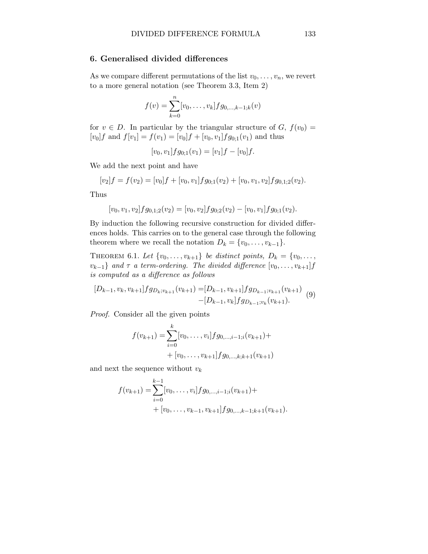#### 6. Generalised divided differences

As we compare different permutations of the list  $v_0, \ldots, v_n$ , we revert to a more general notation (see Theorem 3.3, Item 2)

$$
f(v) = \sum_{k=0}^{n} [v_0, \dots, v_k] f g_{0,\dots,k-1,k}(v)
$$

for  $v \in D$ . In particular by the triangular structure of  $G, f(v_0) =$  $[v_0]f$  and  $f[v_1] = f(v_1) = [v_0]f + [v_0, v_1]fg_{0,1}(v_1)$  and thus

$$
[v_0, v_1]fg_{0,1}(v_1) = [v_1]f - [v_0]f.
$$

We add the next point and have

$$
[v_2]f = f(v_2) = [v_0]f + [v_0, v_1]fg_{0,1}(v_2) + [v_0, v_1, v_2]fg_{0,1,2}(v_2).
$$

Thus

$$
[v_0, v_1, v_2]fg_{0,1;2}(v_2) = [v_0, v_2]fg_{0;2}(v_2) - [v_0, v_1]fg_{0;1}(v_2).
$$

By induction the following recursive construction for divided differences holds. This carries on to the general case through the following theorem where we recall the notation  $D_k = \{v_0, \ldots, v_{k-1}\}.$ 

THEOREM 6.1. Let  $\{v_0, \ldots, v_{k+1}\}\$  be distinct points,  $D_k = \{v_0, \ldots, v_{k+1}\}\$  $v_{k-1}$ } and  $\tau$  a term-ordering. The divided difference  $[v_0, \ldots, v_{k+1}]$  f is computed as a difference as follows

$$
[D_{k-1}, v_k, v_{k+1}]fg_{D_k; v_{k+1}}(v_{k+1}) = [D_{k-1}, v_{k+1}]fg_{D_{k-1}; v_{k+1}}(v_{k+1})
$$
  
-[D\_{k-1}, v\_k]fg\_{D\_{k-1}; v\_k}(v\_{k+1}). (9)

Proof. Consider all the given points

$$
f(v_{k+1}) = \sum_{i=0}^{k} [v_0, \dots, v_i] f g_{0,\dots,i-1,i}(v_{k+1}) +
$$
  
+ 
$$
[v_0, \dots, v_{k+1}] f g_{0,\dots,k,k+1}(v_{k+1})
$$

and next the sequence without  $v_k$ 

$$
f(v_{k+1}) = \sum_{i=0}^{k-1} [v_0, \dots, v_i] f g_{0,\dots,i-1,i}(v_{k+1}) +
$$
  
+  $[v_0, \dots, v_{k-1}, v_{k+1}] f g_{0,\dots,k-1,k+1}(v_{k+1}).$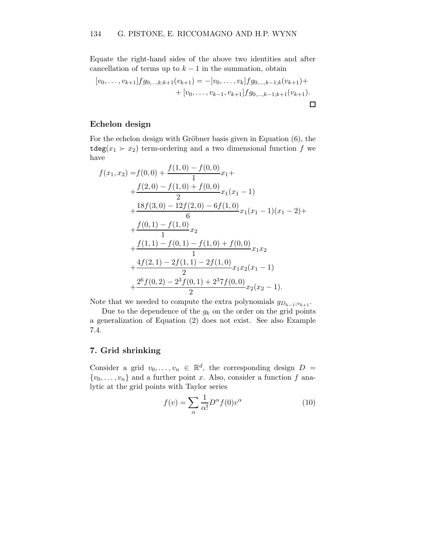Equate the right-hand sides of the above two identities and after cancellation of terms up to  $k-1$  in the summation, obtain

$$
[v_0, \ldots, v_{k+1}]fg_{0,\ldots,k;k+1}(v_{k+1}) = -[v_0, \ldots, v_k]fg_{0,\ldots,k-1;k}(v_{k+1}) + (v_0, \ldots, v_{k-1}, v_{k+1}]fg_{0,\ldots,k-1;k+1}(v_{k+1}).
$$

## Echelon design

For the echelon design with Gröbner basis given in Equation  $(6)$ , the  $\texttt{tdeg}(x_1 \succ x_2)$  term-ordering and a two dimensional function f we have

$$
f(x_1, x_2) = f(0, 0) + \frac{f(1, 0) - f(0, 0)}{1}x_1 +
$$
  
+ 
$$
\frac{f(2, 0) - f(1, 0) + f(0, 0)}{2}x_1(x_1 - 1)
$$
  
+ 
$$
\frac{18f(3, 0) - 12f(2, 0) - 6f(1, 0)}{6}x_1(x_1 - 1)(x_1 - 2) +
$$
  
+ 
$$
\frac{f(0, 1) - f(1, 0)}{1}x_2 +
$$
  
+ 
$$
\frac{f(1, 1) - f(0, 1) - f(1, 0) + f(0, 0)}{1}x_1x_2 +
$$
  
+ 
$$
\frac{4f(2, 1) - 2f(1, 1) - 2f(1, 0)}{2}x_1x_2(x_1 - 1)
$$
  
+ 
$$
\frac{2^6f(0, 2) - 2^3f(0, 1) + 2^37f(0, 0)}{2}x_2(x_2 - 1).
$$

Note that we needed to compute the extra polynomials  $g_{D_{k-1};v_{k+1}}$ .

Due to the dependence of the  $g_k$  on the order on the grid points a generalization of Equation (2) does not exist. See also Example 7.4.

#### 7. Grid shrinking

Consider a grid  $v_0, \ldots, v_n \in \mathbb{R}^d$ , the corresponding design  $D =$  $\{v_0, \ldots, v_n\}$  and a further point x. Also, consider a function f analytic at the grid points with Taylor series

$$
f(v) = \sum_{\alpha} \frac{1}{\alpha!} D^{\alpha} f(0) v^{\alpha} \tag{10}
$$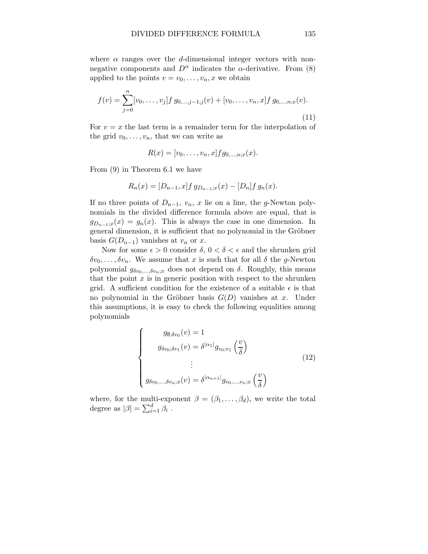where  $\alpha$  ranges over the d-dimensional integer vectors with nonnegative components and  $D^{\alpha}$  indicates the  $\alpha$ -derivative. From (8) applied to the points  $v = v_0, \ldots, v_n, x$  we obtain

$$
f(v) = \sum_{j=0}^{n} [v_0, \dots, v_j] f g_{0,\dots,j-1,j}(v) + [v_0, \dots, v_n, x] f g_{0,\dots,n;x}(v).
$$
\n(11)

For  $v = x$  the last term is a remainder term for the interpolation of the grid  $v_0, \ldots, v_n$ , that we can write as

$$
R(x) = [v_0, \dots, v_n, x]fg_{0,\dots,n;x}(x).
$$

From (9) in Theorem 6.1 we have

$$
R_n(x) = [D_{n-1}, x] f g_{D_{n-1};x}(x) - [D_n] f g_n(x).
$$

If no three points of  $D_{n-1}$ ,  $v_n$ , x lie on a line, the g-Newton polynomials in the divided difference formula above are equal, that is  $g_{D_{n-1}:x}(x) = g_n(x)$ . This is always the case in one dimension. In general dimension, it is sufficient that no polynomial in the Gröbner basis  $G(D_{n-1})$  vanishes at  $v_n$  or x.

Now for some  $\epsilon > 0$  consider  $\delta, 0 < \delta < \epsilon$  and the shrunken grid  $\delta v_0, \ldots, \delta v_n$ . We assume that x is such that for all  $\delta$  the g-Newton polynomial  $g_{\delta v_0,...,\delta v_n;x}$  does not depend on  $\delta$ . Roughly, this means that the point  $x$  is in generic position with respect to the shrunken grid. A sufficient condition for the existence of a suitable  $\epsilon$  is that no polynomial in the Gröbner basis  $G(D)$  vanishes at x. Under this assumptions, it is easy to check the following equalities among polynomials

$$
\begin{cases}\ng_{\emptyset; \delta v_0}(v) = 1 \\
g_{\delta v_0; \delta v_1}(v) = \delta^{|\alpha_1|} g_{v_0; v_1}\left(\frac{v}{\delta}\right) \\
\vdots \\
g_{\delta v_0, \dots, \delta v_n; x}(v) = \delta^{|\alpha_{n+1}|} g_{v_0, \dots, v_n; x}\left(\frac{v}{\delta}\right)\n\end{cases}
$$
\n(12)

where, for the multi-exponent  $\beta = (\beta_1, \ldots, \beta_d)$ , we write the total degree as  $|\beta| = \sum_{i=1}^d \beta_i$ .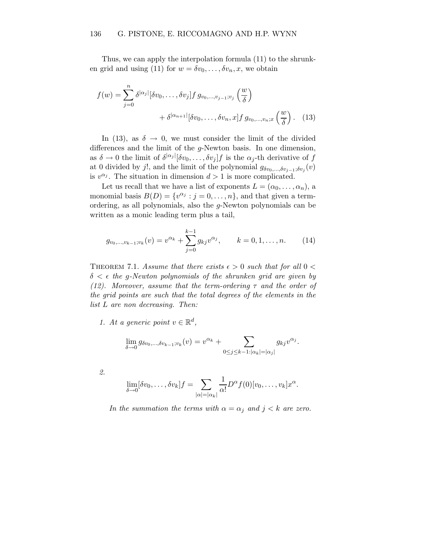Thus, we can apply the interpolation formula (11) to the shrunken grid and using (11) for  $w = \delta v_0, \ldots, \delta v_n, x$ , we obtain

$$
f(w) = \sum_{j=0}^{n} \delta^{|\alpha_j|} [\delta v_0, \dots, \delta v_j] f g_{v_0, \dots, v_{j-1}; v_j} \left(\frac{w}{\delta}\right)
$$

$$
+ \delta^{|\alpha_{n+1}|} [\delta v_0, \dots, \delta v_n, x] f g_{v_0, \dots, v_n; x} \left(\frac{w}{\delta}\right). \quad (13)
$$

In (13), as  $\delta \rightarrow 0$ , we must consider the limit of the divided differences and the limit of the g-Newton basis. In one dimension, as  $\delta \to 0$  the limit of  $\delta^{|\alpha_j|} [\delta v_0, \ldots, \delta v_j] f$  is the  $\alpha_j$ -th derivative of f at 0 divided by j!, and the limit of the polynomial  $g_{\delta v_0,...,\delta v_{j-1};\delta v_j}(v)$ is  $v^{\alpha_j}$ . The situation in dimension  $d > 1$  is more complicated.

Let us recall that we have a list of exponents  $L = (\alpha_0, \ldots, \alpha_n)$ , a monomial basis  $B(D) = \{v^{\alpha_j} : j = 0, \ldots, n\}$ , and that given a termordering, as all polynomials, also the g-Newton polynomials can be written as a monic leading term plus a tail,

$$
g_{v_0,\dots,v_{k-1};v_k}(v) = v^{\alpha_k} + \sum_{j=0}^{k-1} g_{kj}v^{\alpha_j}, \qquad k = 0,1,\dots,n.
$$
 (14)

THEOREM 7.1. Assume that there exists  $\epsilon > 0$  such that for all  $0 <$  $\delta < \epsilon$  the g-Newton polynomials of the shrunken grid are given by (12). Moreover, assume that the term-ordering  $\tau$  and the order of the grid points are such that the total degrees of the elements in the list L are non decreasing. Then:

1. At a generic point  $v \in \mathbb{R}^d$ ,

$$
\lim_{\delta \to 0} g_{\delta v_0, ..., \delta v_{k-1}; v_k}(v) = v^{\alpha_k} + \sum_{0 \le j \le k-1: |\alpha_k| = |\alpha_j|} g_{kj} v^{\alpha_j}.
$$

2.

$$
\lim_{\delta \to 0} [\delta v_0, \dots, \delta v_k] f = \sum_{|\alpha| = |\alpha_k|} \frac{1}{\alpha!} D^{\alpha} f(0) [v_0, \dots, v_k] x^{\alpha}.
$$

In the summation the terms with  $\alpha = \alpha_j$  and  $j < k$  are zero.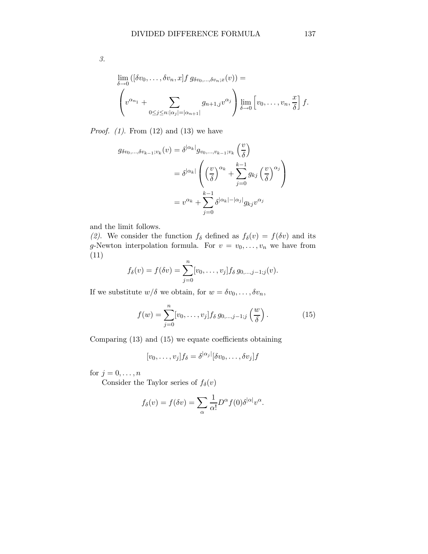$\lim_{\delta \to 0}$ 

*Proof.*  $(1)$ . From  $(12)$  and  $(13)$  we have

 $0 \leq j \leq n$ : $|\alpha_j|=|\alpha_{n+1}|$ 

$$
g_{\delta v_0, \dots, \delta v_{k-1}; v_k}(v) = \delta^{|\alpha_k|} g_{v_0, \dots, v_{k-1}; v_k} \left(\frac{v}{\delta}\right)
$$
  

$$
= \delta^{|\alpha_k|} \left( \left(\frac{v}{\delta}\right)^{\alpha_k} + \sum_{j=0}^{k-1} g_{kj} \left(\frac{v}{\delta}\right)^{\alpha_j} \right)
$$
  

$$
= v^{\alpha_k} + \sum_{j=0}^{k-1} \delta^{|\alpha_k| - |\alpha_j|} g_{kj} v^{\alpha_j}
$$

and the limit follows.

(2). We consider the function  $f_{\delta}$  defined as  $f_{\delta}(v) = f(\delta v)$  and its g-Newton interpolation formula. For  $v = v_0, \ldots, v_n$  we have from (11)

$$
f_{\delta}(v) = f(\delta v) = \sum_{j=0}^{n} [v_0, \dots, v_j] f_{\delta} g_{0,\dots,j-1;j}(v).
$$

If we substitute  $w/\delta$  we obtain, for  $w = \delta v_0, \ldots, \delta v_n$ ,

$$
f(w) = \sum_{j=0}^{n} [v_0, \dots, v_j] f_\delta g_{0,\dots,j-1;j} \left(\frac{w}{\delta}\right). \tag{15}
$$

Comparing (13) and (15) we equate coefficients obtaining

$$
[v_0, \ldots, v_j]f_\delta = \delta^{|\alpha_j|}[\delta v_0, \ldots, \delta v_j]f
$$

for  $j = 0, \ldots, n$ 

Consider the Taylor series of  $f_\delta(v)$ 

$$
f_{\delta}(v) = f(\delta v) = \sum_{\alpha} \frac{1}{\alpha!} D^{\alpha} f(0) \delta^{|\alpha|} v^{\alpha}.
$$

δ

3.

 $\sqrt{ }$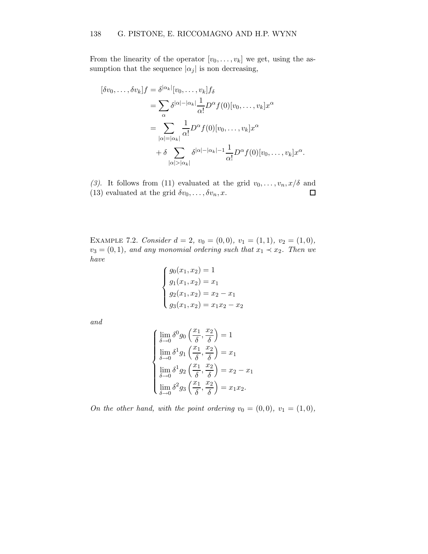From the linearity of the operator  $[v_0, \ldots, v_k]$  we get, using the assumption that the sequence  $|\alpha_j|$  is non decreasing,

$$
[\delta v_0, \dots, \delta v_k]f = \delta^{|\alpha_k|}[v_0, \dots, v_k]f_\delta
$$
  
\n
$$
= \sum_{\alpha} \delta^{|\alpha| - |\alpha_k|} \frac{1}{\alpha!} D^{\alpha} f(0)[v_0, \dots, v_k]x^{\alpha}
$$
  
\n
$$
= \sum_{|\alpha| = |\alpha_k|} \frac{1}{\alpha!} D^{\alpha} f(0)[v_0, \dots, v_k]x^{\alpha}
$$
  
\n
$$
+ \delta \sum_{|\alpha| > |\alpha_k|} \delta^{|\alpha| - |\alpha_k| - 1} \frac{1}{\alpha!} D^{\alpha} f(0)[v_0, \dots, v_k]x^{\alpha}.
$$

(3). It follows from (11) evaluated at the grid  $v_0, \ldots, v_n, x/\delta$  and (13) evaluated at the grid  $\delta v_0, \ldots, \delta v_n, x$ .  $\Box$ 

EXAMPLE 7.2. Consider  $d = 2$ ,  $v_0 = (0, 0)$ ,  $v_1 = (1, 1)$ ,  $v_2 = (1, 0)$ ,  $v_3 = (0, 1)$ , and any monomial ordering such that  $x_1 \prec x_2$ . Then we have

$$
\begin{cases}\ng_0(x_1, x_2) = 1 \\
g_1(x_1, x_2) = x_1 \\
g_2(x_1, x_2) = x_2 - x_1 \\
g_3(x_1, x_2) = x_1 x_2 - x_2\n\end{cases}
$$

and

$$
\begin{cases}\n\lim_{\delta \to 0} \delta^0 g_0 \left( \frac{x_1}{\delta}, \frac{x_2}{\delta} \right) = 1 \\
\lim_{\delta \to 0} \delta^1 g_1 \left( \frac{x_1}{\delta}, \frac{x_2}{\delta} \right) = x_1 \\
\lim_{\delta \to 0} \delta^1 g_2 \left( \frac{x_1}{\delta}, \frac{x_2}{\delta} \right) = x_2 - x_1 \\
\lim_{\delta \to 0} \delta^2 g_3 \left( \frac{x_1}{\delta}, \frac{x_2}{\delta} \right) = x_1 x_2.\n\end{cases}
$$

On the other hand, with the point ordering  $v_0 = (0,0)$ ,  $v_1 = (1,0)$ ,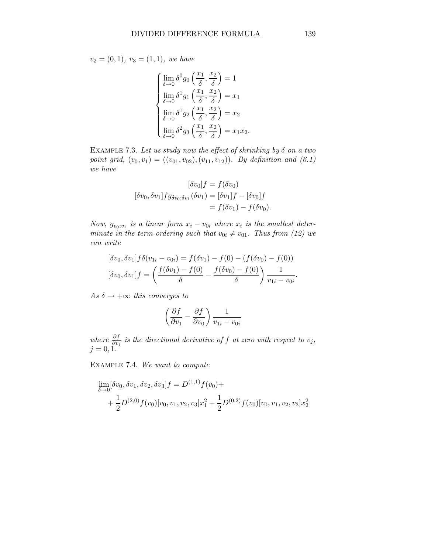$v_2 = (0, 1), v_3 = (1, 1), we have$ 

$$
\begin{cases}\n\lim_{\delta \to 0} \delta^0 g_0 \left( \frac{x_1}{\delta}, \frac{x_2}{\delta} \right) = 1 \\
\lim_{\delta \to 0} \delta^1 g_1 \left( \frac{x_1}{\delta}, \frac{x_2}{\delta} \right) = x_1 \\
\lim_{\delta \to 0} \delta^1 g_2 \left( \frac{x_1}{\delta}, \frac{x_2}{\delta} \right) = x_2 \\
\lim_{\delta \to 0} \delta^2 g_3 \left( \frac{x_1}{\delta}, \frac{x_2}{\delta} \right) = x_1 x_2.\n\end{cases}
$$

EXAMPLE 7.3. Let us study now the effect of shrinking by  $\delta$  on a two point grid,  $(v_0, v_1) = ((v_{01}, v_{02}), (v_{11}, v_{12}))$ . By definition and  $(6.1)$ we have

$$
[\delta v_0]f = f(\delta v_0)
$$
  

$$
[\delta v_0, \delta v_1]fg_{\delta v_0, \delta v_1}(\delta v_1) = [\delta v_1]f - [\delta v_0]f
$$
  

$$
= f(\delta v_1) - f(\delta v_0).
$$

Now,  $g_{v_0; v_1}$  is a linear form  $x_i - v_{0i}$  where  $x_i$  is the smallest determinate in the term-ordering such that  $v_{0i} \neq v_{01}$ . Thus from (12) we can write

$$
[\delta v_0, \delta v_1] f \delta (v_{1i} - v_{0i}) = f(\delta v_1) - f(0) - (f(\delta v_0) - f(0))
$$

$$
[\delta v_0, \delta v_1] f = \left(\frac{f(\delta v_1) - f(0)}{\delta} - \frac{f(\delta v_0) - f(0)}{\delta}\right) \frac{1}{v_{1i} - v_{0i}}.
$$

As  $\delta \rightarrow +\infty$  this converges to

$$
\left(\frac{\partial f}{\partial v_1} - \frac{\partial f}{\partial v_0}\right) \frac{1}{v_{1i} - v_{0i}}
$$

where  $\frac{\partial f}{\partial v_j}$  is the directional derivative of f at zero with respect to  $v_j$ ,  $j = 0, 1.$ 

Example 7.4. We want to compute

$$
\lim_{\delta \to 0} [\delta v_0, \delta v_1, \delta v_2, \delta v_3] f = D^{(1,1)} f(v_0) +
$$
  
+  $\frac{1}{2} D^{(2,0)} f(v_0) [v_0, v_1, v_2, v_3] x_1^2 + \frac{1}{2} D^{(0,2)} f(v_0) [v_0, v_1, v_2, v_3] x_2^2$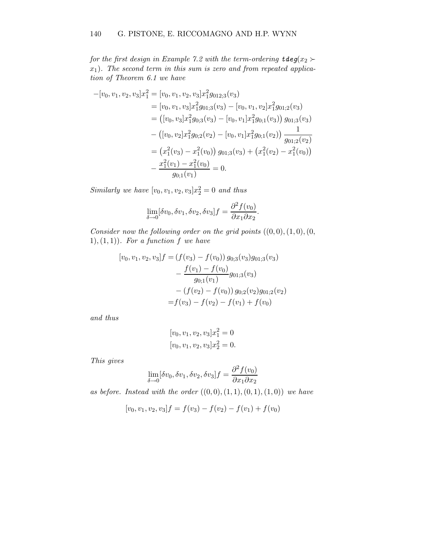for the first design in Example 7.2 with the term-ordering  $\texttt{tdeg}(x_2)$  $x_1$ ). The second term in this sum is zero and from repeated application of Theorem 6.1 we have

$$
-[v_0, v_1, v_2, v_3]x_1^2 = [v_0, v_1, v_2, v_3]x_1^2 g_{012;3}(v_3)
$$
  
\n
$$
= [v_0, v_1, v_3]x_1^2 g_{01;3}(v_3) - [v_0, v_1, v_2]x_1^2 g_{01;2}(v_3)
$$
  
\n
$$
= ([v_0, v_3]x_1^2 g_{0;3}(v_3) - [v_0, v_1]x_1^2 g_{0;1}(v_3)) g_{01;3}(v_3)
$$
  
\n
$$
- ([v_0, v_2]x_1^2 g_{0;2}(v_2) - [v_0, v_1]x_1^2 g_{0;1}(v_2)) \frac{1}{g_{01;2}(v_2)}
$$
  
\n
$$
= (x_1^2(v_3) - x_1^2(v_0)) g_{01;3}(v_3) + (x_1^2(v_2) - x_1^2(v_0))
$$
  
\n
$$
- \frac{x_1^2(v_1) - x_1^2(v_0)}{g_{0;1}(v_1)} = 0.
$$

Similarly we have  $[v_0, v_1, v_2, v_3]x_2^2 = 0$  and thus

$$
\lim_{\delta \to 0} [\delta v_0, \delta v_1, \delta v_2, \delta v_3] f = \frac{\partial^2 f(v_0)}{\partial x_1 \partial x_2}.
$$

Consider now the following order on the grid points  $((0,0),(1,0),(0,$ 1), (1, 1)). For a function  $f$  we have

$$
[v_0, v_1, v_2, v_3]f = (f(v_3) - f(v_0)) g_{0,3}(v_3)g_{01,3}(v_3)
$$
  

$$
- \frac{f(v_1) - f(v_0)}{g_{0,1}(v_1)} g_{01,3}(v_3)
$$
  

$$
- (f(v_2) - f(v_0)) g_{0,2}(v_2)g_{01,2}(v_2)
$$
  

$$
= f(v_3) - f(v_2) - f(v_1) + f(v_0)
$$

and thus

$$
[v_0, v_1, v_2, v_3]x_1^2 = 0
$$
  

$$
[v_0, v_1, v_2, v_3]x_2^2 = 0.
$$

This gives

$$
\lim_{\delta \to 0} [\delta v_0, \delta v_1, \delta v_2, \delta v_3] f = \frac{\partial^2 f(v_0)}{\partial x_1 \partial x_2}
$$

as before. Instead with the order  $((0, 0), (1, 1), (0, 1), (1, 0))$  we have

$$
[v_0, v_1, v_2, v_3]f = f(v_3) - f(v_2) - f(v_1) + f(v_0)
$$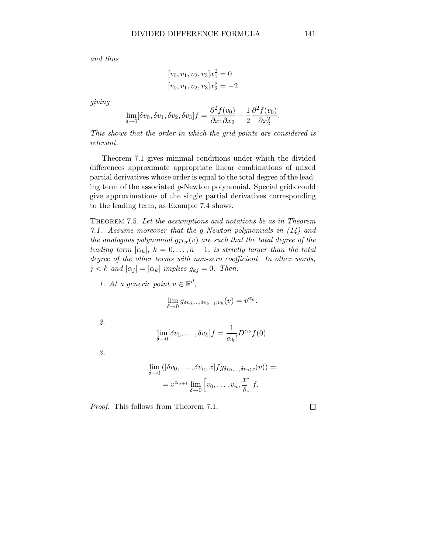and thus

$$
[v_0, v_1, v_2, v_3]x_1^2 = 0
$$
  

$$
[v_0, v_1, v_2, v_3]x_2^2 = -2
$$

giving

$$
\lim_{\delta \to 0} [\delta v_0, \delta v_1, \delta v_2, \delta v_3] f = \frac{\partial^2 f(v_0)}{\partial x_1 \partial x_2} - \frac{1}{2} \frac{\partial^2 f(v_0)}{\partial x_2^2}.
$$

This shows that the order in which the grid points are considered is relevant.

Theorem 7.1 gives minimal conditions under which the divided differences approximate appropriate linear combinations of mixed partial derivatives whose order is equal to the total degree of the leading term of the associated g-Newton polynomial. Special grids could give approximations of the single partial derivatives corresponding to the leading term, as Example 7.4 shows.

THEOREM 7.5. Let the assumptions and notations be as in Theorem 7.1. Assume moreover that the g-Newton polynomials in  $(14)$  and the analogous polynomial  $g_{D;x}(v)$  are such that the total degree of the leading term  $|\alpha_k|$ ,  $k = 0, \ldots, n + 1$ , is strictly larger than the total degree of the other terms with non-zero coefficient. In other words,  $j < k$  and  $|\alpha_j| = |\alpha_k|$  implies  $g_{kj} = 0$ . Then:

1. At a generic point  $v \in \mathbb{R}^d$ ,

$$
\lim_{\delta \to 0} g_{\delta v_0, \dots, \delta v_{k-1}; v_k}(v) = v^{\alpha_k}.
$$

2.

$$
\lim_{\delta \to 0} [\delta v_0, \dots, \delta v_k] f = \frac{1}{\alpha_k!} D^{\alpha_k} f(0).
$$

3.

$$
\lim_{\delta \to 0} ([\delta v_0, \dots, \delta v_n, x] f g_{\delta v_0, \dots, \delta v_n; x}(v)) =
$$
  
=  $v^{\alpha_{n+1}} \lim_{\delta \to 0} [v_0, \dots, v_n, \frac{x}{\delta}] f.$ 

Proof. This follows from Theorem 7.1.

 $\Box$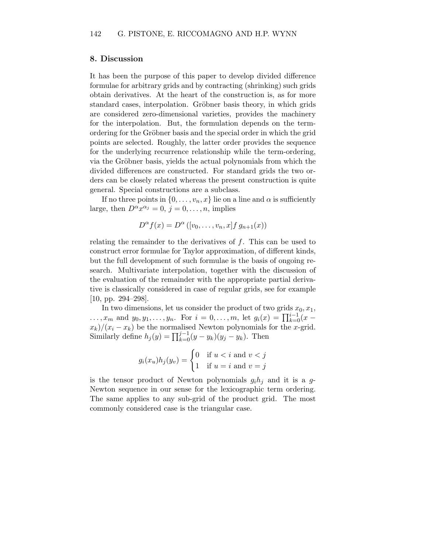#### 8. Discussion

It has been the purpose of this paper to develop divided difference formulae for arbitrary grids and by contracting (shrinking) such grids obtain derivatives. At the heart of the construction is, as for more standard cases, interpolation. Gröbner basis theory, in which grids are considered zero-dimensional varieties, provides the machinery for the interpolation. But, the formulation depends on the termordering for the Gröbner basis and the special order in which the grid points are selected. Roughly, the latter order provides the sequence for the underlying recurrence relationship while the term-ordering, via the Gröbner basis, yields the actual polynomials from which the divided differences are constructed. For standard grids the two orders can be closely related whereas the present construction is quite general. Special constructions are a subclass.

If no three points in  $\{0, \ldots, v_n, x\}$  lie on a line and  $\alpha$  is sufficiently large, then  $D^{\alpha} x^{\alpha_j} = 0, j = 0, \ldots, n$ , implies

$$
D^{\alpha} f(x) = D^{\alpha} ([v_0, \dots, v_n, x] f g_{n+1}(x))
$$

relating the remainder to the derivatives of f. This can be used to construct error formulae for Taylor approximation, of different kinds, but the full development of such formulae is the basis of ongoing research. Multivariate interpolation, together with the discussion of the evaluation of the remainder with the appropriate partial derivative is classically considered in case of regular grids, see for example [10, pp. 294–298].

In two dimensions, let us consider the product of two grids  $x_0, x_1$ , ...,  $x_m$  and  $y_0, y_1, \ldots, y_n$ . For  $i = 0, \ldots, m$ , let  $g_i(x) = \prod_{k=0}^{i-1} (x$  $x_k/(x_i - x_k)$  be the normalised Newton polynomials for the x-grid. Similarly define  $h_j(y) = \prod_{k=0}^{j-1} (y - y_k)(y_j - y_k)$ . Then

$$
g_i(x_u)h_j(y_v) = \begin{cases} 0 & \text{if } u < i \text{ and } v < j \\ 1 & \text{if } u = i \text{ and } v = j \end{cases}
$$

is the tensor product of Newton polynomials  $g_i h_j$  and it is a g-Newton sequence in our sense for the lexicographic term ordering. The same applies to any sub-grid of the product grid. The most commonly considered case is the triangular case.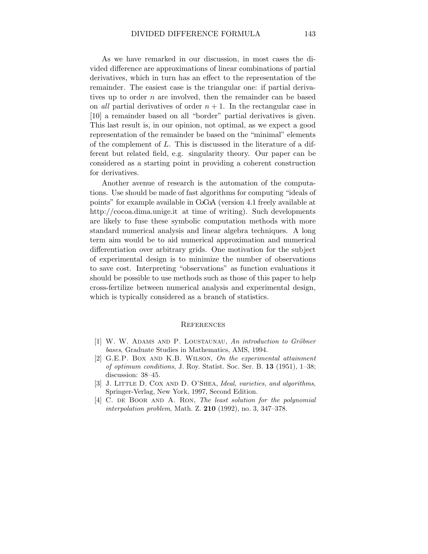As we have remarked in our discussion, in most cases the divided difference are approximations of linear combinations of partial derivatives, which in turn has an effect to the representation of the remainder. The easiest case is the triangular one: if partial derivatives up to order  $n$  are involved, then the remainder can be based on all partial derivatives of order  $n + 1$ . In the rectangular case in [10] a remainder based on all "border" partial derivatives is given. This last result is, in our opinion, not optimal, as we expect a good representation of the remainder be based on the "minimal" elements of the complement of  $L$ . This is discussed in the literature of a different but related field, e.g. singularity theory. Our paper can be considered as a starting point in providing a coherent construction for derivatives.

Another avenue of research is the automation of the computations. Use should be made of fast algorithms for computing "ideals of points" for example available in CoCoA (version 4.1 freely available at http://cocoa.dima.unige.it at time of writing). Such developments are likely to fuse these symbolic computation methods with more standard numerical analysis and linear algebra techniques. A long term aim would be to aid numerical approximation and numerical differentiation over arbitrary grids. One motivation for the subject of experimental design is to minimize the number of observations to save cost. Interpreting "observations" as function evaluations it should be possible to use methods such as those of this paper to help cross-fertilize between numerical analysis and experimental design, which is typically considered as a branch of statistics.

#### **REFERENCES**

- $[1]$  W. W. ADAMS AND P. LOUSTAUNAU, An introduction to Gröbner bases, Graduate Studies in Mathematics, AMS, 1994.
- [2] G.E.P. BOX AND K.B. WILSON, On the experimental attainment of optimum conditions, J. Roy. Statist. Soc. Ser. B. 13 (1951), 1–38; discussion: 38–45.
- [3] J. LITTLE D. COX AND D. O'SHEA, Ideal, varieties, and algorithms, Springer-Verlag, New York, 1997, Second Edition.
- [4] C. DE BOOR AND A. RON, The least solution for the polynomial interpolation problem, Math. Z. 210 (1992), no. 3, 347–378.